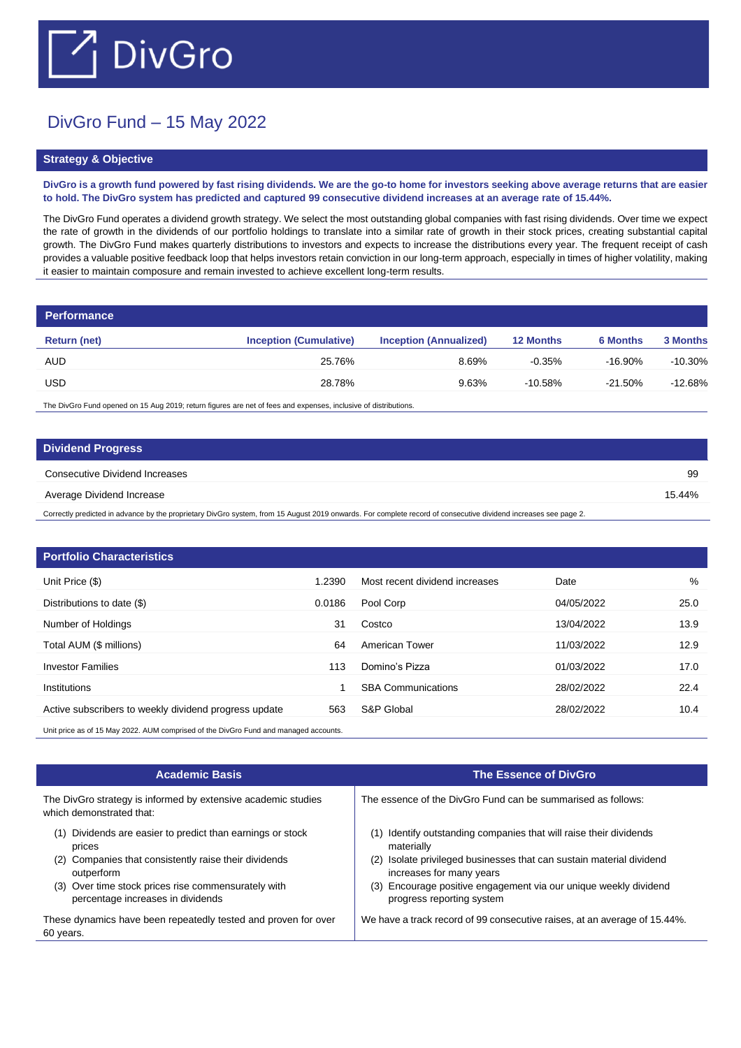## $\Box$  DivGro

## DivGro Fund – 15 May 2022

## **Strategy & Objective**

**DivGro is a growth fund powered by fast rising dividends. We are the go-to home for investors seeking above average returns that are easier to hold. The DivGro system has predicted and captured 99 consecutive dividend increases at an average rate of 15.44%.** 

The DivGro Fund operates a dividend growth strategy. We select the most outstanding global companies with fast rising dividends. Over time we expect the rate of growth in the dividends of our portfolio holdings to translate into a similar rate of growth in their stock prices, creating substantial capital growth. The DivGro Fund makes quarterly distributions to investors and expects to increase the distributions every year. The frequent receipt of cash provides a valuable positive feedback loop that helps investors retain conviction in our long-term approach, especially in times of higher volatility, making it easier to maintain composure and remain invested to achieve excellent long-term results.

| <b>Performance</b> |                               |                               |                  |                 |                 |
|--------------------|-------------------------------|-------------------------------|------------------|-----------------|-----------------|
| Return (net)       | <b>Inception (Cumulative)</b> | <b>Inception (Annualized)</b> | <b>12 Months</b> | <b>6 Months</b> | <b>3 Months</b> |
| <b>AUD</b>         | 25.76%                        | 8.69%                         | $-0.35%$         | -16.90%         | $-10.30%$       |
| <b>USD</b>         | 28.78%                        | 9.63%                         | $-10.58%$        | $-21.50\%$      | $-12.68%$       |

The DivGro Fund opened on 15 Aug 2019; return figures are net of fees and expenses, inclusive of distributions.

| <b>Dividend Progress</b>       |        |
|--------------------------------|--------|
| Consecutive Dividend Increases | 99     |
| Average Dividend Increase      | 15.44% |
|                                |        |

Correctly predicted in advance by the proprietary DivGro system, from 15 August 2019 onwards. For complete record of consecutive dividend increases see page 2.

| <b>Portfolio Characteristics</b>                                                     |        |                                |            |      |
|--------------------------------------------------------------------------------------|--------|--------------------------------|------------|------|
| Unit Price (\$)                                                                      | 1.2390 | Most recent dividend increases | Date       | %    |
| Distributions to date (\$)                                                           | 0.0186 | Pool Corp                      | 04/05/2022 | 25.0 |
| Number of Holdings                                                                   | 31     | Costco                         | 13/04/2022 | 13.9 |
| Total AUM (\$ millions)                                                              | 64     | American Tower                 | 11/03/2022 | 12.9 |
| <b>Investor Families</b>                                                             | 113    | Domino's Pizza                 | 01/03/2022 | 17.0 |
| Institutions                                                                         |        | <b>SBA Communications</b>      | 28/02/2022 | 22.4 |
| Active subscribers to weekly dividend progress update                                | 563    | S&P Global                     | 28/02/2022 | 10.4 |
| Unit price as of 15 May 2022. AUM comprised of the DivGro Fund and managed accounts. |        |                                |            |      |

| <b>Academic Basis</b>                                                                                                                                                                                                                         | <b>The Essence of DivGro</b>                                                                                                                                                                                                                                                      |
|-----------------------------------------------------------------------------------------------------------------------------------------------------------------------------------------------------------------------------------------------|-----------------------------------------------------------------------------------------------------------------------------------------------------------------------------------------------------------------------------------------------------------------------------------|
| The DivGro strategy is informed by extensive academic studies<br>which demonstrated that:                                                                                                                                                     | The essence of the DivGro Fund can be summarised as follows:                                                                                                                                                                                                                      |
| Dividends are easier to predict than earnings or stock<br>(1)<br>prices<br>Companies that consistently raise their dividends<br>(2)<br>outperform<br>(3) Over time stock prices rise commensurately with<br>percentage increases in dividends | Identify outstanding companies that will raise their dividends<br>materially<br>(2) Isolate privileged businesses that can sustain material dividend<br>increases for many years<br>(3) Encourage positive engagement via our unique weekly dividend<br>progress reporting system |
| These dynamics have been repeatedly tested and proven for over<br>60 years.                                                                                                                                                                   | We have a track record of 99 consecutive raises, at an average of 15.44%.                                                                                                                                                                                                         |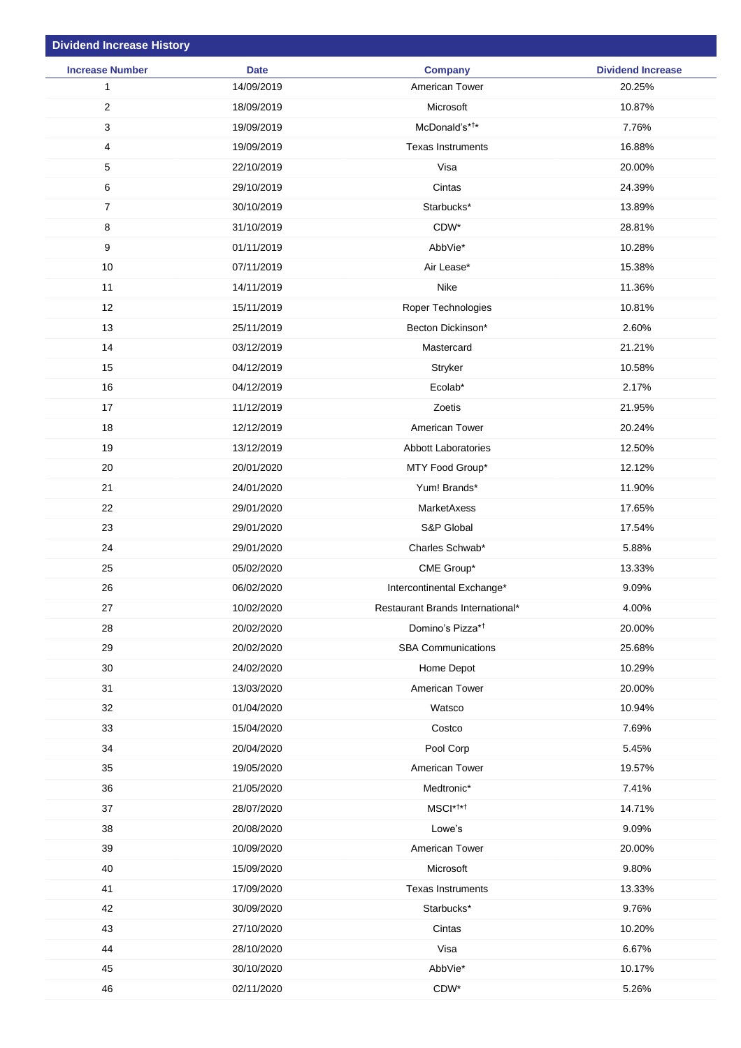| <b>Dividend Increase History</b> |             |                                  |                          |
|----------------------------------|-------------|----------------------------------|--------------------------|
| <b>Increase Number</b>           | <b>Date</b> | <b>Company</b>                   | <b>Dividend Increase</b> |
| $\mathbf{1}$                     | 14/09/2019  | American Tower                   | 20.25%                   |
| $\overline{2}$                   | 18/09/2019  | Microsoft                        | 10.87%                   |
| 3                                | 19/09/2019  | McDonald's* <sup>†*</sup>        | 7.76%                    |
| 4                                | 19/09/2019  | <b>Texas Instruments</b>         | 16.88%                   |
| 5                                | 22/10/2019  | Visa                             | 20.00%                   |
| 6                                | 29/10/2019  | Cintas                           | 24.39%                   |
| $\overline{7}$                   | 30/10/2019  | Starbucks*                       | 13.89%                   |
| 8                                | 31/10/2019  | CDW*                             | 28.81%                   |
| $\boldsymbol{9}$                 | 01/11/2019  | AbbVie*                          | 10.28%                   |
| 10                               | 07/11/2019  | Air Lease*                       | 15.38%                   |
| 11                               | 14/11/2019  | Nike                             | 11.36%                   |
| 12                               | 15/11/2019  | Roper Technologies               | 10.81%                   |
| 13                               | 25/11/2019  | Becton Dickinson*                | 2.60%                    |
| 14                               | 03/12/2019  | Mastercard                       | 21.21%                   |
| 15                               | 04/12/2019  | Stryker                          | 10.58%                   |
| 16                               | 04/12/2019  | Ecolab*                          | 2.17%                    |
| 17                               | 11/12/2019  | Zoetis                           | 21.95%                   |
| 18                               | 12/12/2019  | American Tower                   | 20.24%                   |
| 19                               | 13/12/2019  | <b>Abbott Laboratories</b>       | 12.50%                   |
| 20                               | 20/01/2020  | MTY Food Group*                  | 12.12%                   |
| 21                               | 24/01/2020  | Yum! Brands*                     | 11.90%                   |
| 22                               | 29/01/2020  | MarketAxess                      | 17.65%                   |
| 23                               | 29/01/2020  | S&P Global                       | 17.54%                   |
| 24                               | 29/01/2020  | Charles Schwab*                  | 5.88%                    |
| 25                               | 05/02/2020  | CME Group*                       | 13.33%                   |
| 26                               | 06/02/2020  | Intercontinental Exchange*       | 9.09%                    |
| 27                               | 10/02/2020  | Restaurant Brands International* | 4.00%                    |
| 28                               | 20/02/2020  | Domino's Pizza* <sup>†</sup>     | 20.00%                   |
| 29                               | 20/02/2020  | <b>SBA Communications</b>        | 25.68%                   |
| 30                               | 24/02/2020  | Home Depot                       | 10.29%                   |
| 31                               | 13/03/2020  | American Tower                   | 20.00%                   |
| 32                               | 01/04/2020  | Watsco                           | 10.94%                   |
| 33                               | 15/04/2020  | Costco                           | 7.69%                    |
| 34                               | 20/04/2020  | Pool Corp                        | 5.45%                    |
| 35                               | 19/05/2020  | American Tower                   | 19.57%                   |
| 36                               | 21/05/2020  | Medtronic*                       | 7.41%                    |
| 37                               | 28/07/2020  | MSCI* <sup>†*†</sup>             | 14.71%                   |
| 38                               | 20/08/2020  | Lowe's                           | 9.09%                    |
| 39                               | 10/09/2020  | American Tower                   | 20.00%                   |
| 40                               | 15/09/2020  | Microsoft                        | 9.80%                    |
| 41                               | 17/09/2020  | <b>Texas Instruments</b>         | 13.33%                   |
| 42                               | 30/09/2020  | Starbucks*                       | 9.76%                    |
| 43                               | 27/10/2020  | Cintas                           | 10.20%                   |
| 44                               | 28/10/2020  | Visa                             | 6.67%                    |
| 45                               | 30/10/2020  | AbbVie*                          | 10.17%                   |
| 46                               | 02/11/2020  | CDW*                             | 5.26%                    |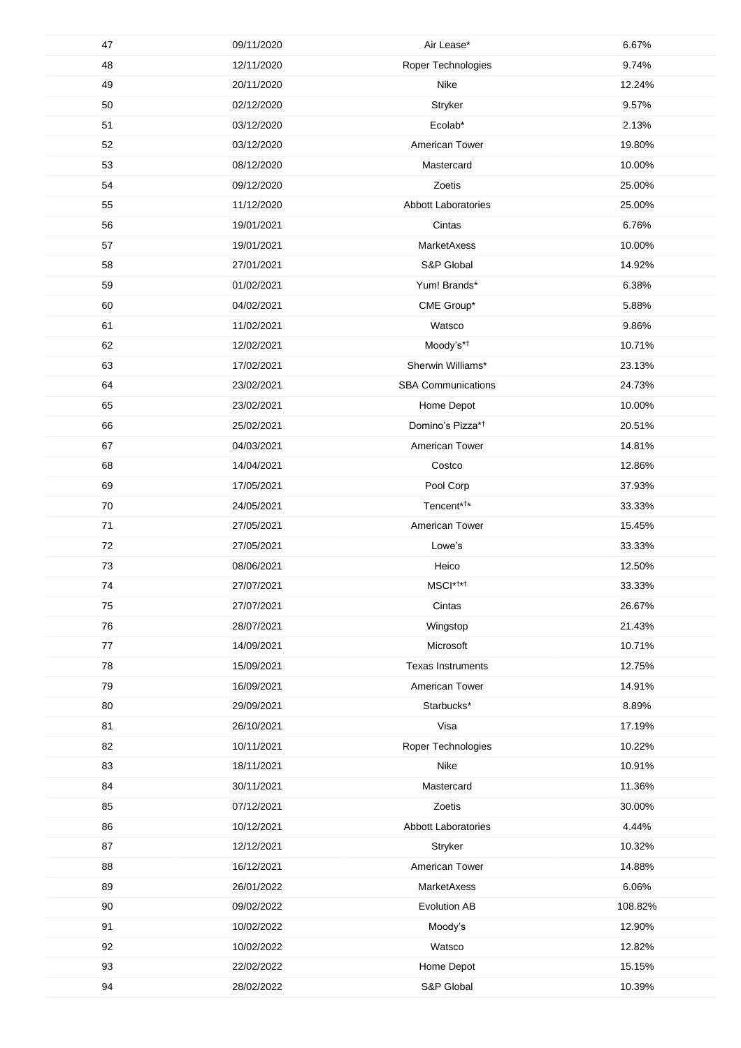| 47     | 09/11/2020 | Air Lease*                   | 6.67%   |
|--------|------------|------------------------------|---------|
| 48     | 12/11/2020 | Roper Technologies           | 9.74%   |
| 49     | 20/11/2020 | Nike                         | 12.24%  |
| 50     | 02/12/2020 | Stryker                      | 9.57%   |
| 51     | 03/12/2020 | Ecolab*                      | 2.13%   |
| 52     | 03/12/2020 | American Tower               | 19.80%  |
| 53     | 08/12/2020 | Mastercard                   | 10.00%  |
| 54     | 09/12/2020 | Zoetis                       | 25.00%  |
| 55     | 11/12/2020 | <b>Abbott Laboratories</b>   | 25.00%  |
| 56     | 19/01/2021 | Cintas                       | 6.76%   |
| 57     | 19/01/2021 | MarketAxess                  | 10.00%  |
| 58     | 27/01/2021 | S&P Global                   | 14.92%  |
| 59     | 01/02/2021 | Yum! Brands*                 | 6.38%   |
| 60     | 04/02/2021 | CME Group*                   | 5.88%   |
| 61     | 11/02/2021 | Watsco                       | 9.86%   |
| 62     | 12/02/2021 | Moody's* <sup>†</sup>        | 10.71%  |
| 63     | 17/02/2021 | Sherwin Williams*            |         |
|        |            |                              | 23.13%  |
| 64     | 23/02/2021 | <b>SBA Communications</b>    | 24.73%  |
| 65     | 23/02/2021 | Home Depot                   | 10.00%  |
| 66     | 25/02/2021 | Domino's Pizza* <sup>†</sup> | 20.51%  |
| 67     | 04/03/2021 | American Tower               | 14.81%  |
| 68     | 14/04/2021 | Costco                       | 12.86%  |
| 69     | 17/05/2021 | Pool Corp                    | 37.93%  |
| $70\,$ | 24/05/2021 | Tencent* <sup>†*</sup>       | 33.33%  |
| 71     | 27/05/2021 | American Tower               | 15.45%  |
| $72\,$ | 27/05/2021 | Lowe's                       | 33.33%  |
| 73     | 08/06/2021 | Heico                        | 12.50%  |
| 74     | 27/07/2021 | MSCI* <sup>†*†</sup>         | 33.33%  |
| 75     | 27/07/2021 | Cintas                       | 26.67%  |
| 76     | 28/07/2021 | Wingstop                     | 21.43%  |
| 77     | 14/09/2021 | Microsoft                    | 10.71%  |
| 78     | 15/09/2021 | <b>Texas Instruments</b>     | 12.75%  |
| 79     | 16/09/2021 | American Tower               | 14.91%  |
| 80     | 29/09/2021 | Starbucks*                   | 8.89%   |
| 81     | 26/10/2021 | Visa                         | 17.19%  |
| 82     | 10/11/2021 | Roper Technologies           | 10.22%  |
| 83     | 18/11/2021 | Nike                         | 10.91%  |
| 84     | 30/11/2021 | Mastercard                   | 11.36%  |
| 85     | 07/12/2021 | Zoetis                       | 30.00%  |
| 86     | 10/12/2021 | Abbott Laboratories          | 4.44%   |
| 87     | 12/12/2021 | Stryker                      | 10.32%  |
| 88     | 16/12/2021 | American Tower               | 14.88%  |
| 89     | 26/01/2022 | MarketAxess                  | 6.06%   |
| 90     | 09/02/2022 | Evolution AB                 | 108.82% |
| 91     | 10/02/2022 | Moody's                      | 12.90%  |
| 92     | 10/02/2022 | Watsco                       | 12.82%  |
| 93     | 22/02/2022 | Home Depot                   | 15.15%  |
| 94     | 28/02/2022 | S&P Global                   | 10.39%  |
|        |            |                              |         |